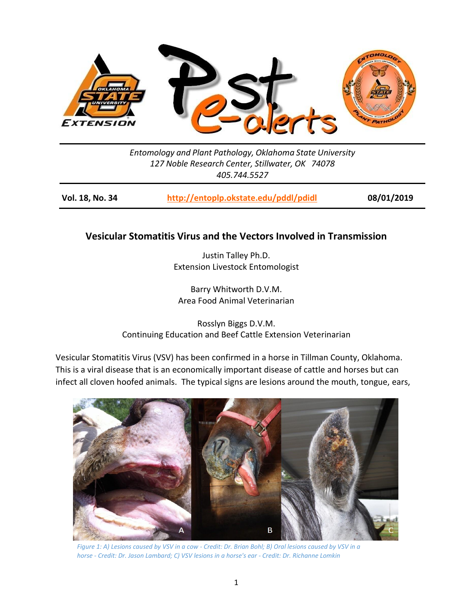

*Entomology and Plant Pathology, Oklahoma State University 127 Noble Research Center, Stillwater, OK 74078 405.744.5527*

**Vol. 18, No. 34 <http://entoplp.okstate.edu/pddl/pdidl> 08/01/2019**

## **Vesicular Stomatitis Virus and the Vectors Involved in Transmission**

Justin Talley Ph.D. Extension Livestock Entomologist

Barry Whitworth D.V.M. Area Food Animal Veterinarian

Rosslyn Biggs D.V.M. Continuing Education and Beef Cattle Extension Veterinarian

Vesicular Stomatitis Virus (VSV) has been confirmed in a horse in Tillman County, Oklahoma. This is a viral disease that is an economically important disease of cattle and horses but can infect all cloven hoofed animals. The typical signs are lesions around the mouth, tongue, ears,



*Figure 1: A) Lesions caused by VSV in a cow - Credit: Dr. Brian Bohl; B) Oral lesions caused by VSV in a horse - Credit: Dr. Jason Lambard; C) VSV lesions in a horse's ear - Credit: Dr. Richanne Lomkin*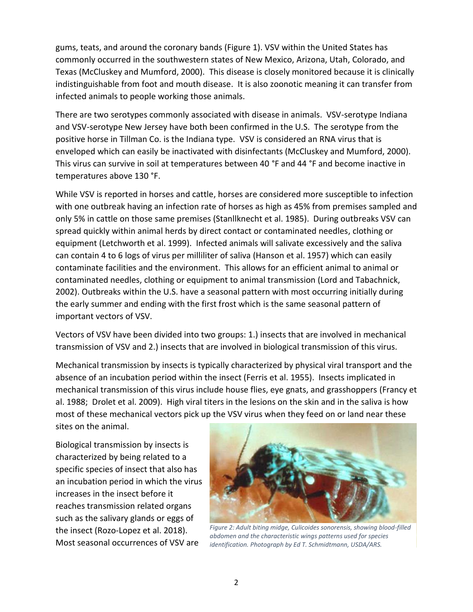gums, teats, and around the coronary bands (Figure 1). VSV within the United States has commonly occurred in the southwestern states of New Mexico, Arizona, Utah, Colorado, and Texas (McCluskey and Mumford, 2000). This disease is closely monitored because it is clinically indistinguishable from foot and mouth disease. It is also zoonotic meaning it can transfer from infected animals to people working those animals.

There are two serotypes commonly associated with disease in animals. VSV-serotype Indiana and VSV-serotype New Jersey have both been confirmed in the U.S. The serotype from the positive horse in Tillman Co. is the Indiana type. VSV is considered an RNA virus that is enveloped which can easily be inactivated with disinfectants (McCluskey and Mumford, 2000). This virus can survive in soil at temperatures between 40 °F and 44 °F and become inactive in temperatures above 130 °F.

While VSV is reported in horses and cattle, horses are considered more susceptible to infection with one outbreak having an infection rate of horses as high as 45% from premises sampled and only 5% in cattle on those same premises (Stanllknecht et al. 1985). During outbreaks VSV can spread quickly within animal herds by direct contact or contaminated needles, clothing or equipment (Letchworth et al. 1999). Infected animals will salivate excessively and the saliva can contain 4 to 6 logs of virus per milliliter of saliva (Hanson et al. 1957) which can easily contaminate facilities and the environment. This allows for an efficient animal to animal or contaminated needles, clothing or equipment to animal transmission (Lord and Tabachnick, 2002). Outbreaks within the U.S. have a seasonal pattern with most occurring initially during the early summer and ending with the first frost which is the same seasonal pattern of important vectors of VSV.

Vectors of VSV have been divided into two groups: 1.) insects that are involved in mechanical transmission of VSV and 2.) insects that are involved in biological transmission of this virus.

Mechanical transmission by insects is typically characterized by physical viral transport and the absence of an incubation period within the insect (Ferris et al. 1955). Insects implicated in mechanical transmission of this virus include house flies, eye gnats, and grasshoppers (Francy et al. 1988; Drolet et al. 2009). High viral titers in the lesions on the skin and in the saliva is how most of these mechanical vectors pick up the VSV virus when they feed on or land near these sites on the animal.

Biological transmission by insects is characterized by being related to a specific species of insect that also has an incubation period in which the virus increases in the insect before it reaches transmission related organs such as the salivary glands or eggs of the insect (Rozo-Lopez et al. 2018). Most seasonal occurrences of VSV are



*Figure 2: Adult biting midge, Culicoides sonorensis, showing blood-filled abdomen and the characteristic wings patterns used for species identification. Photograph by Ed T. Schmidtmann, USDA/ARS.*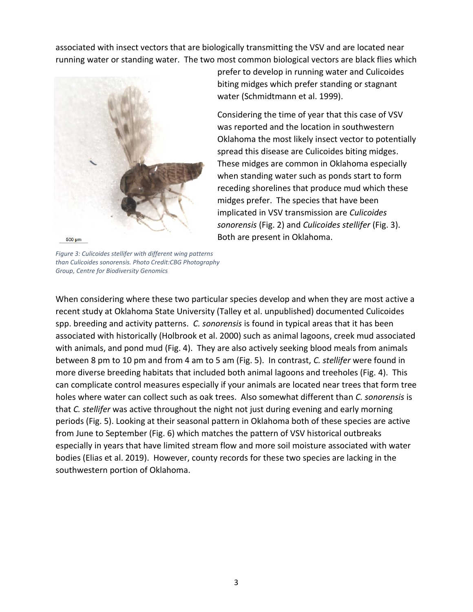associated with insect vectors that are biologically transmitting the VSV and are located near running water or standing water. The two most common biological vectors are black flies which



*Figure 3: Culicoides stellifer with different wing patterns than Culicoides sonorensis. Photo Credit:CBG Photography Group, Centre for Biodiversity Genomics*

prefer to develop in running water and Culicoides biting midges which prefer standing or stagnant water (Schmidtmann et al. 1999).

Considering the time of year that this case of VSV was reported and the location in southwestern Oklahoma the most likely insect vector to potentially spread this disease are Culicoides biting midges. These midges are common in Oklahoma especially when standing water such as ponds start to form receding shorelines that produce mud which these midges prefer. The species that have been implicated in VSV transmission are *Culicoides sonorensis* (Fig. 2) and *Culicoides stellifer* (Fig. 3). Both are present in Oklahoma.

When considering where these two particular species develop and when they are most active a recent study at Oklahoma State University (Talley et al. unpublished) documented Culicoides spp. breeding and activity patterns. *C. sonorensis* is found in typical areas that it has been associated with historically (Holbrook et al. 2000) such as animal lagoons, creek mud associated with animals, and pond mud (Fig. 4). They are also actively seeking blood meals from animals between 8 pm to 10 pm and from 4 am to 5 am (Fig. 5). In contrast, *C. stellifer* were found in more diverse breeding habitats that included both animal lagoons and treeholes (Fig. 4). This can complicate control measures especially if your animals are located near trees that form tree holes where water can collect such as oak trees. Also somewhat different than *C. sonorensis* is that *C. stellifer* was active throughout the night not just during evening and early morning periods (Fig. 5). Looking at their seasonal pattern in Oklahoma both of these species are active from June to September (Fig. 6) which matches the pattern of VSV historical outbreaks especially in years that have limited stream flow and more soil moisture associated with water bodies (Elias et al. 2019). However, county records for these two species are lacking in the southwestern portion of Oklahoma.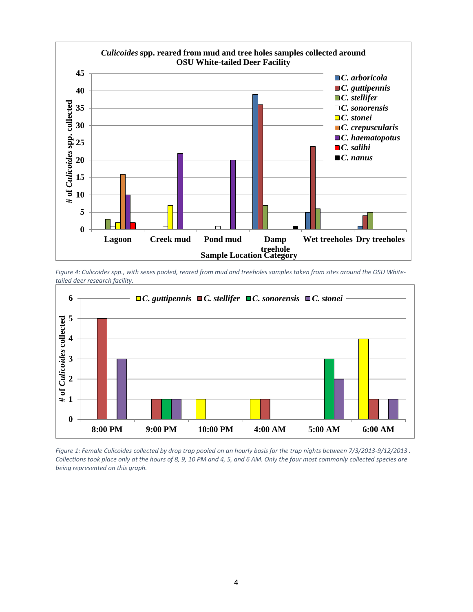

*Figure 4: Culicoides spp., with sexes pooled, reared from mud and treeholes samples taken from sites around the OSU Whitetailed deer research facility.* 



*Figure 1: Female Culicoides collected by drop trap pooled on an hourly basis for the trap nights between 7/3/2013-9/12/2013 . Collections took place only at the hours of 8, 9, 10 PM and 4, 5, and 6 AM. Only the four most commonly collected species are being represented on this graph.*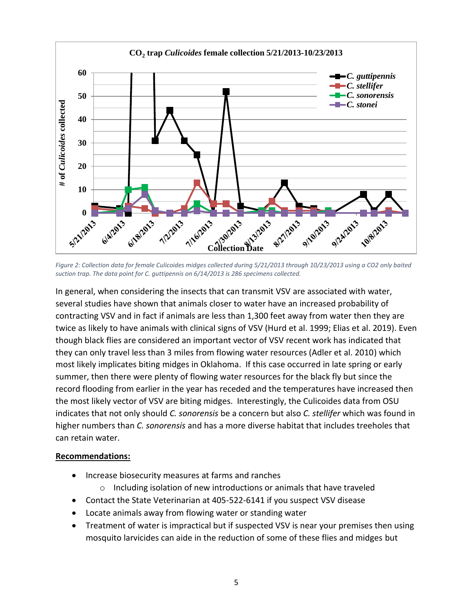

*Figure 2: Collection data for female Culicoides midges collected during 5/21/2013 through 10/23/2013 using a CO2 only baited suction trap. The data point for C. guttipennis on 6/14/2013 is 286 specimens collected.*

In general, when considering the insects that can transmit VSV are associated with water, several studies have shown that animals closer to water have an increased probability of contracting VSV and in fact if animals are less than 1,300 feet away from water then they are twice as likely to have animals with clinical signs of VSV (Hurd et al. 1999; Elias et al. 2019). Even though black flies are considered an important vector of VSV recent work has indicated that they can only travel less than 3 miles from flowing water resources (Adler et al. 2010) which most likely implicates biting midges in Oklahoma. If this case occurred in late spring or early summer, then there were plenty of flowing water resources for the black fly but since the record flooding from earlier in the year has receded and the temperatures have increased then the most likely vector of VSV are biting midges. Interestingly, the Culicoides data from OSU indicates that not only should *C. sonorensis* be a concern but also *C. stellifer* which was found in higher numbers than *C. sonorensis* and has a more diverse habitat that includes treeholes that can retain water.

## **Recommendations:**

- Increase biosecurity measures at farms and ranches
	- o Including isolation of new introductions or animals that have traveled
- Contact the State Veterinarian at 405-522-6141 if you suspect VSV disease
- Locate animals away from flowing water or standing water
- Treatment of water is impractical but if suspected VSV is near your premises then using mosquito larvicides can aide in the reduction of some of these flies and midges but